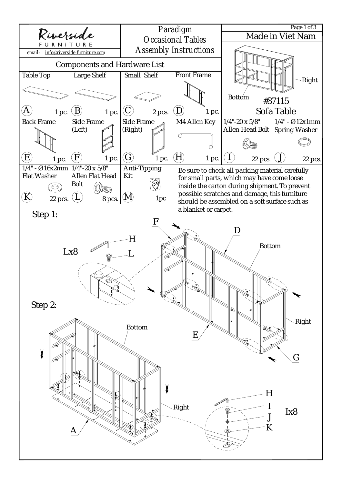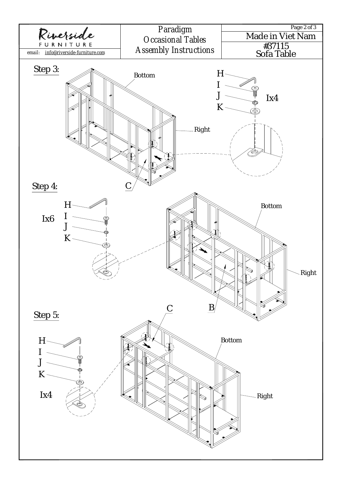